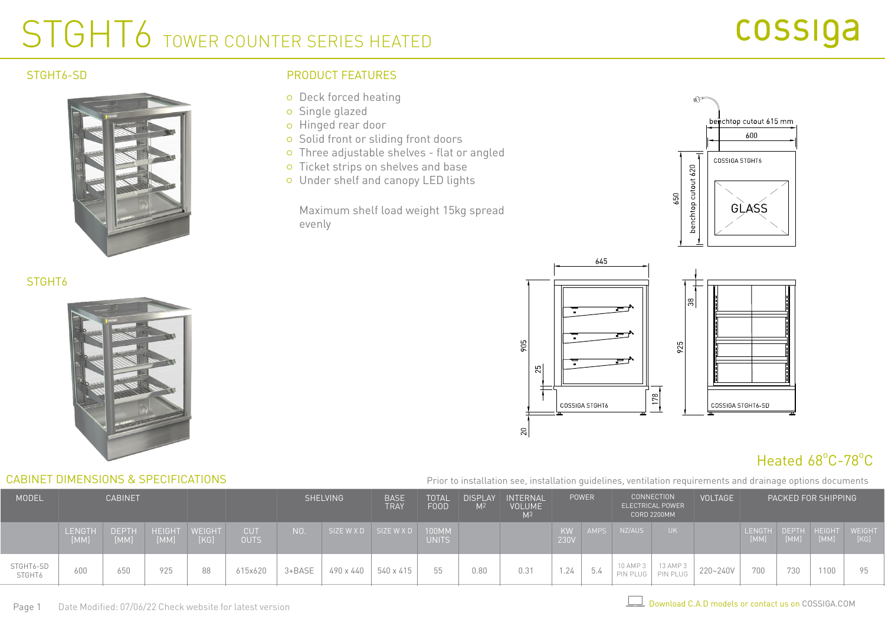## STGHT6 TOWER COUNTER SERIES HEATED

### STGHT<sub>6-SD</sub>

STGHT<sub>6</sub>



## PRODUCT FEATURES

- o Deck forced heating
- Single glazed
- o Hinged rear door
- o Solid front or sliding front doors
- Three adjustable shelves flat or angled
- o Ticket strips on shelves and base
- Under shelf and canopy LED lights

Maximum shelf load weight 15kg spread evenly





## Heated 68°C-78°C

Prior to installation see, installation guidelines, ventilation requirements and drainage options documents

| <b>MODEL</b>        | <b>CABINET</b>        |                      |                       |                |                           | <b>SHELVING</b><br><b>BASE</b><br>TRAY |                       | TOTAL<br>FOOD | <b>DISPLAY</b><br>M <sup>2</sup> | INTERNAL<br><b>VOLUME</b> | <b>POWER</b> |            |             | <b>CONNECTION</b><br>ELECTRICAL POWER<br><b>CORD 2200MM</b> | <b>VOLTAGE</b>       |          | PACKED FOR SHIPPING             |                      |      |                |
|---------------------|-----------------------|----------------------|-----------------------|----------------|---------------------------|----------------------------------------|-----------------------|---------------|----------------------------------|---------------------------|--------------|------------|-------------|-------------------------------------------------------------|----------------------|----------|---------------------------------|----------------------|------|----------------|
|                     | <b>LENGTH</b><br>[MM] | <b>DEPTH</b><br>[MM] | <b>HEIGHT</b><br>[MM] | WEIGHT<br>[KG] | <b>CUT</b><br><b>OUTS</b> | N0.                                    | SIZE W X D SIZE W X D |               | 100MM<br><b>UNITS</b>            |                           |              | KW<br>230V | <b>AMPS</b> | NZ/AUS                                                      | UK I                 |          | <b>LENGTH</b><br>$\mathsf{MMM}$ | DEPTH HEIGHT<br>[MM] | [MM] | WEIGHT<br>[KG] |
| STGHT6-SD<br>STGHT6 | 600                   | 650                  | 925                   | 88             | 615x620                   | 3+BASE                                 | 490 x 440             | 540 x 415     |                                  | 0.80                      | 0.31         | 1.24       | $-$<br>5.4  | 10 AMP 3<br>PIN PLUG                                        | 13 AMP 3<br>PIN PLUG | 220~240V | 700                             | 730                  | 1100 | 95             |

CABINET DIMENSIONS & SPECIFICATIONS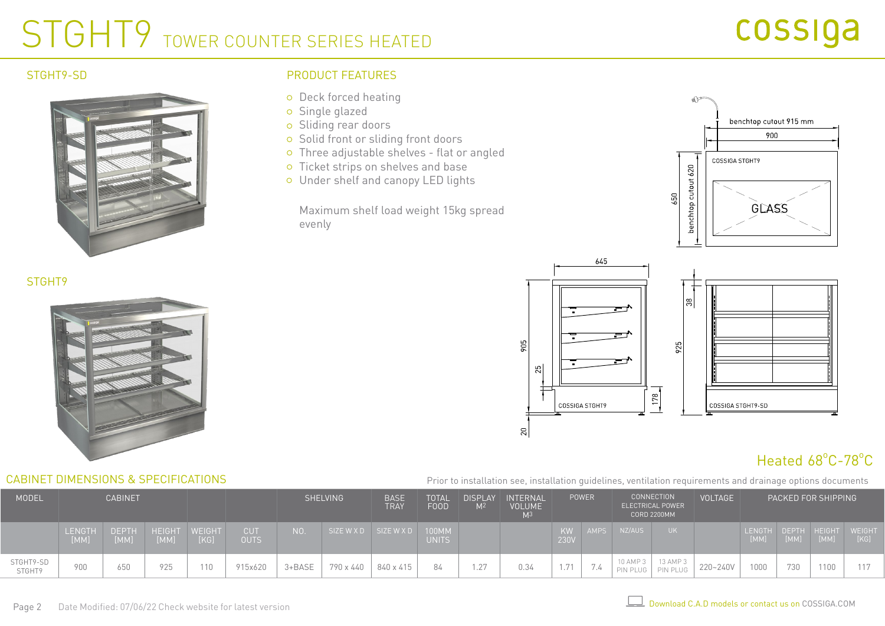## STGHT9 TOWER COUNTER SERIES HEATED

#### STGHT9-SD

STGHT9



### PRODUCT FEATURES

- o Deck forced heating
- Single glazed
- o Sliding rear doors
- o Solid front or sliding front doors
- Three adjustable shelves flat or angled
- o Ticket strips on shelves and base
- Under shelf and canopy LED lights

Maximum shelf load weight 15kg spread evenly





## Heated 68°C-78°C

Prior to installation see, installation guidelines, ventilation requirements and drainage options documents

| <b>MODEL</b>        | <b>CABINET</b>        |                      |                       |      |                           | <b>SHELVING</b> |                       | <b>BASE</b><br>TRAY | TOTAL<br><b>FOOD</b>         | <b>DISPLAY</b><br>M <sup>2</sup> | <b>INTERNAL</b><br><b>VOLUME</b><br>M <sup>3</sup> | <b>POWER</b> |               |                      | <b>CONNECTION</b><br>ELECTRICAL POWER<br><b>CORD 2200MM</b> | <b>VOLTAGE</b> | PACKED FOR SHIPPING   |                      |      |                |
|---------------------|-----------------------|----------------------|-----------------------|------|---------------------------|-----------------|-----------------------|---------------------|------------------------------|----------------------------------|----------------------------------------------------|--------------|---------------|----------------------|-------------------------------------------------------------|----------------|-----------------------|----------------------|------|----------------|
|                     | <b>LENGTH</b><br>[MM] | <b>DEPTH</b><br>[MM] | HEIGHT WEIGHT<br>[MM] | [KG] | <b>CUT</b><br><b>OUTS</b> | NO.             | SIZE W X D SIZE W X D |                     | <b>100MM</b><br><b>UNITS</b> |                                  |                                                    | KW<br>230V   | <b>AMPS</b>   | NZ/AUS               |                                                             |                | <b>LENGTH</b><br>[MM] | DEPTH HEIGHT<br>[MM] | [MM] | WEIGHT<br>[KG] |
| STGHT9-SD<br>STGHT9 | 900                   | 650                  | 925                   | 10   | 915x620                   | $3 + BASE$      | 790 x 440             | 840 x 415           |                              | 1.27                             | 0.34                                               | 1.71         | $\sim$<br>1.4 | 10 AMP 3<br>PIN PLUG | 13 AMP 3<br>PIN PLUG                                        | 220~240V       | 1000                  | 730                  | 1100 | 117            |

CABINET DIMENSIONS & SPECIFICATIONS